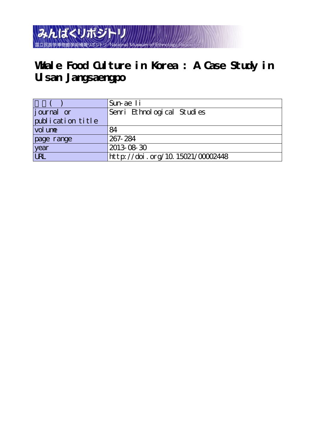みんぱくリポジトリ 国立民族学博物館学術情報リポジトリ National Museum of

# **Whale Food Culture in Korea : A Case Study in Ulsan Jangsaengpo**

|                    | 'Sun-ae Ii                       |
|--------------------|----------------------------------|
| <i>j</i> ournal or | Senri Ethnological Studies       |
| publication title  |                                  |
| vol une            | 84                               |
| page range         | 267-284                          |
| year               | 2013-08-30                       |
| URL                | http://doi.org/10.15021/00002448 |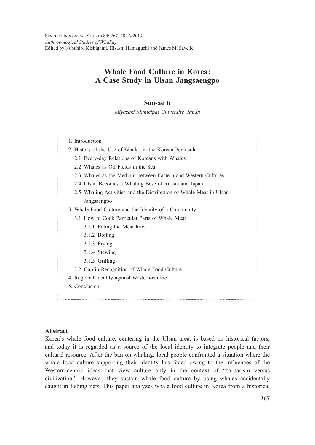SENRI ETHNOLOGICAL STUDIES 84: 267–284 ©2013 *Anthropological Studies of Whaling* Edited by Nobuhiro Kishigami, Hisashi Hamaguchi and James M. Savelle

# **Whale Food Culture in Korea: A Case Study in Ulsan Jangsaengpo**

# **Sun-ae Ii**

*Miyazaki Municipal University, Japan*

1. Introduction 2. History of the Use of Whales in the Korean Peninsula 2.1 Every-day Relations of Koreans with Whales 2.2 Whales as Oil Fields in the Sea 2.3 Whales as the Medium between Eastern and Western Cultures 2.4 Ulsan Becomes a Whaling Base of Russia and Japan 2.5 Whaling Activities and the Distribution of Whale Meat in Ulsan Jangsaengpo 3. Whale Food Culture and the Identity of a Community 3.1 How to Cook Particular Parts of Whale Meat 3.1.1 Eating the Meat Raw 3.1.2 Boiling 3.1.3 Frying 3.1.4 Stewing 3.1.5 Grilling 3.2 Gap in Recognition of Whale Food Culture 4. Regional Identity against Western-centric 5. Conclusion

#### **Abstract**

Korea's whale food culture, centering in the Ulsan area, is based on historical factors, and today it is regarded as a source of the local identity to integrate people and their cultural resource. After the ban on whaling, local people confronted a situation where the whale food culture supporting their identity has faded owing to the influences of the Western-centric ideas that view culture only in the context of "barbarism versus civilization". However, they sustain whale food culture by using whales accidentally caught in fishing nets. This paper analyzes whale food culture in Korea from a historical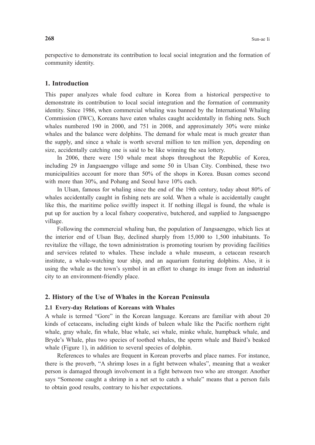perspective to demonstrate its contribution to local social integration and the formation of community identity.

# **1. Introduction**

This paper analyzes whale food culture in Korea from a historical perspective to demonstrate its contribution to local social integration and the formation of community identity. Since 1986, when commercial whaling was banned by the International Whaling Commission (IWC), Koreans have eaten whales caught accidentally in fishing nets. Such whales numbered 190 in 2000, and 751 in 2008, and approximately 30% were minke whales and the balance were dolphins. The demand for whale meat is much greater than the supply, and since a whale is worth several million to ten million yen, depending on size, accidentally catching one is said to be like winning the sea lottery.

 In 2006, there were 150 whale meat shops throughout the Republic of Korea, including 29 in Jangsaengpo village and some 50 in Ulsan City. Combined, these two municipalities account for more than 50% of the shops in Korea. Busan comes second with more than 30%, and Pohang and Seoul have 10% each.

 In Ulsan, famous for whaling since the end of the 19th century, today about 80% of whales accidentally caught in fishing nets are sold. When a whale is accidentally caught like this, the maritime police swiftly inspect it. If nothing illegal is found, the whale is put up for auction by a local fishery cooperative, butchered, and supplied to Jangsaengpo village.

 Following the commercial whaling ban, the population of Jangsaengpo, which lies at the interior end of Ulsan Bay, declined sharply from 15,000 to 1,500 inhabitants. To revitalize the village, the town administration is promoting tourism by providing facilities and services related to whales. These include a whale museum, a cetacean research institute, a whale-watching tour ship, and an aquarium featuring dolphins. Also, it is using the whale as the town's symbol in an effort to change its image from an industrial city to an environment-friendly place.

#### **2. History of the Use of Whales in the Korean Peninsula**

#### **2.1 Every-day Relations of Koreans with Whales**

A whale is termed "Gore" in the Korean language. Koreans are familiar with about 20 kinds of cetaceans, including eight kinds of baleen whale like the Pacific northern right whale, gray whale, fin whale, blue whale, sei whale, minke whale, humpback whale, and Bryde's Whale, plus two species of toothed whales, the sperm whale and Baird's beaked whale (Figure 1), in addition to several species of dolphin.

 References to whales are frequent in Korean proverbs and place names. For instance, there is the proverb, "A shrimp loses in a fight between whales", meaning that a weaker person is damaged through involvement in a fight between two who are stronger. Another says "Someone caught a shrimp in a net set to catch a whale" means that a person fails to obtain good results, contrary to his/her expectations.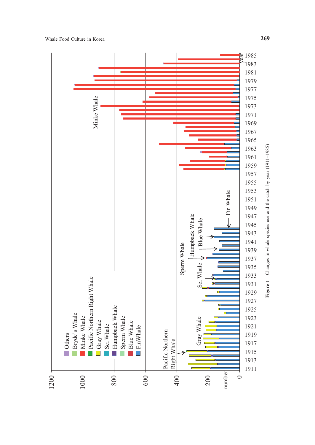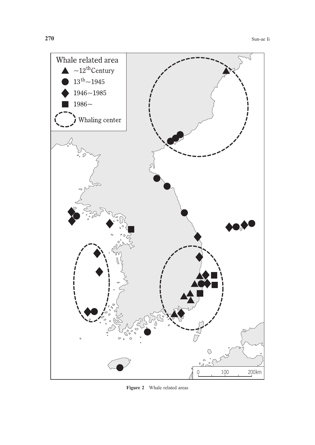

**Figure 2** Whale related areas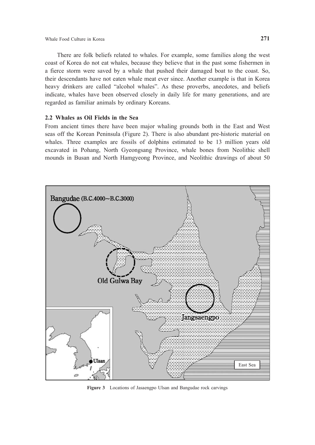There are folk beliefs related to whales. For example, some families along the west coast of Korea do not eat whales, because they believe that in the past some fishermen in a fierce storm were saved by a whale that pushed their damaged boat to the coast. So, their descendants have not eaten whale meat ever since. Another example is that in Korea heavy drinkers are called "alcohol whales". As these proverbs, anecdotes, and beliefs indicate, whales have been observed closely in daily life for many generations, and are regarded as familiar animals by ordinary Koreans.

#### **2.2 Whales as Oil Fields in the Sea**

From ancient times there have been major whaling grounds both in the East and West seas off the Korean Peninsula (Figure 2). There is also abundant pre-historic material on whales. Three examples are fossils of dolphins estimated to be 13 million years old excavated in Pohang, North Gyeongsang Province, whale bones from Neolithic shell mounds in Busan and North Hamgyeong Province, and Neolithic drawings of about 50



**Figure 3** Locations of Jasaengpo Ulsan and Bangudae rock carvings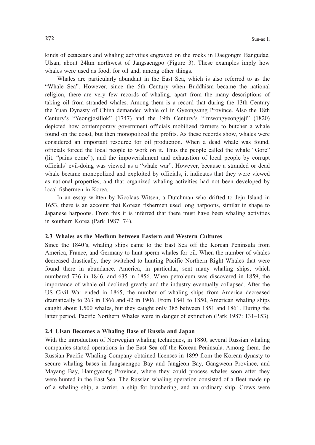kinds of cetaceans and whaling activities engraved on the rocks in Daegongni Bangudae, Ulsan, about 24km northwest of Jangsaengpo (Figure 3). These examples imply how whales were used as food, for oil and, among other things.

 Whales are particularly abundant in the East Sea, which is also referred to as the "Whale Sea". However, since the 5th Century when Buddhism became the national religion, there are very few records of whaling, apart from the many descriptions of taking oil from stranded whales. Among them is a record that during the 13th Century the Yuan Dynasty of China demanded whale oil in Gyeongsang Province. Also the 18th Century's "Yeongjosillok" (1747) and the 19th Century's "Imwongyeongjeji" (1820) depicted how contemporary government officials mobilized farmers to butcher a whale found on the coast, but then monopolized the profits. As these records show, whales were considered an important resource for oil production. When a dead whale was found, officials forced the local people to work on it. Thus the people called the whale "Gore" (lit. "pains come"), and the impoverishment and exhaustion of local people by corrupt officials' evil-doing was viewed as a "whale war". However, because a stranded or dead whale became monopolized and exploited by officials, it indicates that they were viewed as national properties, and that organized whaling activities had not been developed by local fishermen in Korea.

 In an essay written by Nicolaas Witsen, a Dutchman who drifted to Jeju Island in 1653, there is an account that Korean fishermen used long harpoons, similar in shape to Japanese harpoons. From this it is inferred that there must have been whaling activities in southern Korea (Park 1987: 74).

#### **2.3 Whales as the Medium between Eastern and Western Cultures**

Since the 1840's, whaling ships came to the East Sea off the Korean Peninsula from America, France, and Germany to hunt sperm whales for oil. When the number of whales decreased drastically, they switched to hunting Pacific Northern Right Whales that were found there in abundance. America, in particular, sent many whaling ships, which numbered 736 in 1846, and 635 in 1856. When petroleum was discovered in 1859, the importance of whale oil declined greatly and the industry eventually collapsed. After the US Civil War ended in 1865, the number of whaling ships from America decreased dramatically to 263 in 1866 and 42 in 1906. From 1841 to 1850, American whaling ships caught about 1,500 whales, but they caught only 385 between 1851 and 1861. During the latter period, Pacific Northern Whales were in danger of extinction (Park 1987: 131–153).

#### **2.4 Ulsan Becomes a Whaling Base of Russia and Japan**

With the introduction of Norwegian whaling techniques, in 1880, several Russian whaling companies started operations in the East Sea off the Korean Peninsula. Among them, the Russian Pacific Whaling Company obtained licenses in 1899 from the Korean dynasty to secure whaling bases in Jangsaengpo Bay and Jangjeon Bay, Gangweon Province, and Mayang Bay, Hamgyeong Province, where they could process whales soon after they were hunted in the East Sea. The Russian whaling operation consisted of a fleet made up of a whaling ship, a carrier, a ship for butchering, and an ordinary ship. Crews were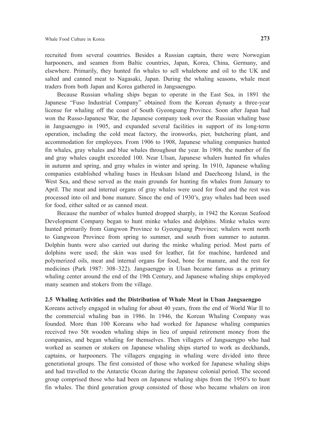recruited from several countries. Besides a Russian captain, there were Norwegian harpooners, and seamen from Baltic countries, Japan, Korea, China, Germany, and elsewhere. Primarily, they hunted fin whales to sell whalebone and oil to the UK and salted and canned meat to Nagasaki, Japan. During the whaling seasons, whale meat traders from both Japan and Korea gathered in Jangsaengpo.

 Because Russian whaling ships began to operate in the East Sea, in 1891 the Japanese "Fuso Industrial Company" obtained from the Korean dynasty a three-year license for whaling off the coast of South Gyeongsang Province. Soon after Japan had won the Russo-Japanese War, the Japanese company took over the Russian whaling base in Jangsaengpo in 1905, and expanded several facilities in support of its long-term operation, including the cold meat factory, the ironworks, pier, butchering plant, and accommodation for employees. From 1906 to 1908, Japanese whaling companies hunted fin whales, gray whales and blue whales throughout the year. In 1908, the number of fin and gray whales caught exceeded 100. Near Ulsan, Japanese whalers hunted fin whales in autumn and spring, and gray whales in winter and spring. In 1910, Japanese whaling companies established whaling bases in Heuksan Island and Daecheong Island, in the West Sea, and these served as the main grounds for hunting fin whales from January to April. The meat and internal organs of gray whales were used for food and the rest was processed into oil and bone manure. Since the end of 1930's, gray whales had been used for food, either salted or as canned meat.

 Because the number of whales hunted dropped sharply, in 1942 the Korean Seafood Development Company began to hunt minke whales and dolphins. Minke whales were hunted primarily from Gangwon Province to Gyeongsang Province; whalers went north to Gangweon Province from spring to summer, and south from summer to autumn. Dolphin hunts were also carried out during the minke whaling period. Most parts of dolphins were used; the skin was used for leather, fat for machine, hardened and polymerized oils, meat and internal organs for food, bone for manure, and the rest for medicines (Park 1987: 308–322). Jangsaengpo in Ulsan became famous as a primary whaling center around the end of the 19th Century, and Japanese whaling ships employed many seamen and stokers from the village.

# **2.5 Whaling Activities and the Distribution of Whale Meat in Ulsan Jangsaengpo**

Koreans actively engaged in whaling for about 40 years, from the end of World War II to the commercial whaling ban in 1986. In 1946, the Korean Whaling Company was founded. More than 100 Koreans who had worked for Japanese whaling companies received two 50t wooden whaling ships in lieu of unpaid retirement money from the companies, and began whaling for themselves. Then villagers of Jangsaengpo who had worked as seamen or stokers on Japanese whaling ships started to work as deckhands, captains, or harpooners. The villagers engaging in whaling were divided into three generational groups. The first consisted of those who worked for Japanese whaling ships and had travelled to the Antarctic Ocean during the Japanese colonial period. The second group comprised those who had been on Japanese whaling ships from the 1950's to hunt fin whales. The third generation group consisted of those who became whalers on iron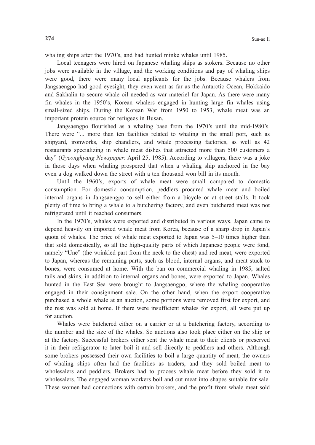whaling ships after the 1970's, and had hunted minke whales until 1985.

 Local teenagers were hired on Japanese whaling ships as stokers. Because no other jobs were available in the village, and the working conditions and pay of whaling ships were good, there were many local applicants for the jobs. Because whalers from Jangsaengpo had good eyesight, they even went as far as the Antarctic Ocean, Hokkaido and Sakhalin to secure whale oil needed as war materiel for Japan. As there were many fin whales in the 1950's, Korean whalers engaged in hunting large fin whales using small-sized ships. During the Korean War from 1950 to 1953, whale meat was an important protein source for refugees in Busan.

 Jangsaengpo flourished as a whaling base from the 1970's until the mid-1980's. There were "... more than ten facilities related to whaling in the small port, such as shipyard, ironworks, ship chandlers, and whale processing factories, as well as 42 restaurants specializing in whale meat dishes that attracted more than 500 customers a day" (*Gyeonghyang Newspaper*: April 25, 1985). According to villagers, there was a joke in those days when whaling prospered that when a whaling ship anchored in the bay even a dog walked down the street with a ten thousand won bill in its mouth.

 Until the 1960's, exports of whale meat were small compared to domestic consumption. For domestic consumption, peddlers procured whale meat and boiled internal organs in Jangsaengpo to sell either from a bicycle or at street stalls. It took plenty of time to bring a whale to a butchering factory, and even butchered meat was not refrigerated until it reached consumers.

 In the 1970's, whales were exported and distributed in various ways. Japan came to depend heavily on imported whale meat from Korea, because of a sharp drop in Japan's quota of whales. The price of whale meat exported to Japan was 5–10 times higher than that sold domestically, so all the high-quality parts of which Japanese people were fond, namely "Une" (the wrinkled part from the neck to the chest) and red meat, were exported to Japan, whereas the remaining parts, such as blood, internal organs, and meat stuck to bones, were consumed at home. With the ban on commercial whaling in 1985, salted tails and skins, in addition to internal organs and bones, were exported to Japan. Whales hunted in the East Sea were brought to Jangsaengpo, where the whaling cooperative engaged in their consignment sale. On the other hand, when the export cooperative purchased a whole whale at an auction, some portions were removed first for export, and the rest was sold at home. If there were insufficient whales for export, all were put up for auction.

 Whales were butchered either on a carrier or at a butchering factory, according to the number and the size of the whales. So auctions also took place either on the ship or at the factory. Successful brokers either sent the whale meat to their clients or preserved it in their refrigerator to later boil it and sell directly to peddlers and others. Although some brokers possessed their own facilities to boil a large quantity of meat, the owners of whaling ships often had the facilities as traders, and they sold boiled meat to wholesalers and peddlers. Brokers had to process whale meat before they sold it to wholesalers. The engaged woman workers boil and cut meat into shapes suitable for sale. These women had connections with certain brokers, and the profit from whale meat sold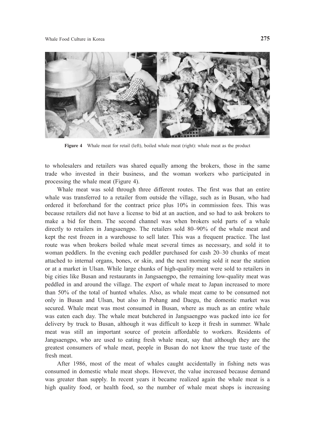

Figure 4 Whale meat for retail (left), boiled whale meat (right): whale meat as the product

to wholesalers and retailers was shared equally among the brokers, those in the same trade who invested in their business, and the woman workers who participated in processing the whale meat (Figure 4).

 Whale meat was sold through three different routes. The first was that an entire whale was transferred to a retailer from outside the village, such as in Busan, who had ordered it beforehand for the contract price plus 10% in commission fees. This was because retailers did not have a license to bid at an auction, and so had to ask brokers to make a bid for them. The second channel was when brokers sold parts of a whale directly to retailers in Jangsaengpo. The retailers sold 80–90% of the whale meat and kept the rest frozen in a warehouse to sell later. This was a frequent practice. The last route was when brokers boiled whale meat several times as necessary, and sold it to woman peddlers. In the evening each peddler purchased for cash 20–30 chunks of meat attached to internal organs, bones, or skin, and the next morning sold it near the station or at a market in Ulsan. While large chunks of high-quality meat were sold to retailers in big cities like Busan and restaurants in Jangsaengpo, the remaining low-quality meat was peddled in and around the village. The export of whale meat to Japan increased to more than 50% of the total of hunted whales. Also, as whale meat came to be consumed not only in Busan and Ulsan, but also in Pohang and Daegu, the domestic market was secured. Whale meat was most consumed in Busan, where as much as an entire whale was eaten each day. The whale meat butchered in Jangsaengpo was packed into ice for delivery by truck to Busan, although it was difficult to keep it fresh in summer. Whale meat was still an important source of protein affordable to workers. Residents of Jangsaengpo, who are used to eating fresh whale meat, say that although they are the greatest consumers of whale meat, people in Busan do not know the true taste of the fresh meat.

 After 1986, most of the meat of whales caught accidentally in fishing nets was consumed in domestic whale meat shops. However, the value increased because demand was greater than supply. In recent years it became realized again the whale meat is a high quality food, or health food, so the number of whale meat shops is increasing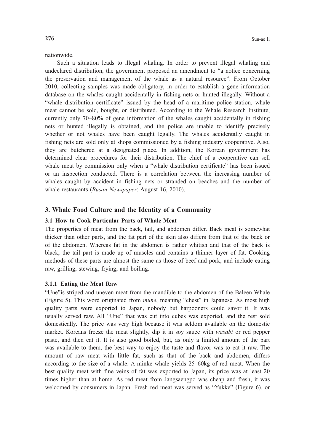nationwide.

 Such a situation leads to illegal whaling. In order to prevent illegal whaling and undeclared distribution, the government proposed an amendment to "a notice concerning the preservation and management of the whale as a natural resource". From October 2010, collecting samples was made obligatory, in order to establish a gene information database on the whales caught accidentally in fishing nets or hunted illegally. Without a "whale distribution certificate" issued by the head of a maritime police station, whale meat cannot be sold, bought, or distributed. According to the Whale Research Institute, currently only 70–80% of gene information of the whales caught accidentally in fishing nets or hunted illegally is obtained, and the police are unable to identify precisely whether or not whales have been caught legally. The whales accidentally caught in fishing nets are sold only at shops commissioned by a fishing industry cooperative. Also, they are butchered at a designated place. In addition, the Korean government has determined clear procedures for their distribution. The chief of a cooperative can sell whale meat by commission only when a "whale distribution certificate" has been issued or an inspection conducted. There is a correlation between the increasing number of whales caught by accident in fishing nets or stranded on beaches and the number of whale restaurants (*Busan Newspaper*: August 16, 2010).

# **3. Whale Food Culture and the Identity of a Community**

#### **3.1 How to Cook Particular Parts of Whale Meat**

The properties of meat from the back, tail, and abdomen differ. Back meat is somewhat thicker than other parts, and the fat part of the skin also differs from that of the back or of the abdomen. Whereas fat in the abdomen is rather whitish and that of the back is black, the tail part is made up of muscles and contains a thinner layer of fat. Cooking methods of these parts are almost the same as those of beef and pork, and include eating raw, grilling, stewing, frying, and boiling.

#### **3.1.1 Eating the Meat Raw**

"Une"is striped and uneven meat from the mandible to the abdomen of the Baleen Whale (Figure 5). This word originated from *mune*, meaning "chest" in Japanese. As most high quality parts were exported to Japan, nobody but harpooners could savor it. It was usually served raw. All "Une" that was cut into cubes was exported, and the rest sold domestically. The price was very high because it was seldom available on the domestic market. Koreans freeze the meat slightly, dip it in soy sauce with *wasabi* or red pepper paste, and then eat it. It is also good boiled, but, as only a limited amount of the part was available to them, the best way to enjoy the taste and flavor was to eat it raw. The amount of raw meat with little fat, such as that of the back and abdomen, differs according to the size of a whale. A minke whale yields 25–60kg of red meat. When the best quality meat with fine veins of fat was exported to Japan, its price was at least 20 times higher than at home. As red meat from Jangsaengpo was cheap and fresh, it was welcomed by consumers in Japan. Fresh red meat was served as "Yukke" (Figure 6), or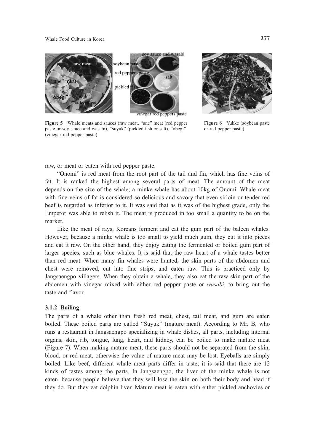

**Figure 5** Whale meats and sauces (raw meat, "une" meat (red pepper paste or soy sauce and wasabi), "suyuk" (pickled fish or salt), "obegi" (vinegar red pepper paste)



**Figure 6** Yukke (soybean paste or red pepper paste)

raw, or meat or eaten with red pepper paste.

 "Onomi" is red meat from the root part of the tail and fin, which has fine veins of fat. It is ranked the highest among several parts of meat. The amount of the meat depends on the size of the whale; a minke whale has about 10kg of Onomi. Whale meat with fine veins of fat is considered so delicious and savory that even sirloin or tender red beef is regarded as inferior to it. It was said that as it was of the highest grade, only the Emperor was able to relish it. The meat is produced in too small a quantity to be on the market.

 Like the meat of rays, Koreans ferment and eat the gum part of the baleen whales. However, because a minke whale is too small to yield much gum, they cut it into pieces and eat it raw. On the other hand, they enjoy eating the fermented or boiled gum part of larger species, such as blue whales. It is said that the raw heart of a whale tastes better than red meat. When many fin whales were hunted, the skin parts of the abdomen and chest were removed, cut into fine strips, and eaten raw. This is practiced only by Jangsaengpo villagers. When they obtain a whale, they also eat the raw skin part of the abdomen with vinegar mixed with either red pepper paste or *wasabi*, to bring out the taste and flavor.

#### **3.1.2 Boiling**

The parts of a whale other than fresh red meat, chest, tail meat, and gum are eaten boiled. These boiled parts are called "Suyuk" (mature meat). According to Mr. B, who runs a restaurant in Jangsaengpo specializing in whale dishes, all parts, including internal organs, skin, rib, tongue, lung, heart, and kidney, can be boiled to make mature meat (Figure 7). When making mature meat, these parts should not be separated from the skin, blood, or red meat, otherwise the value of mature meat may be lost. Eyeballs are simply boiled. Like beef, different whale meat parts differ in taste; it is said that there are 12 kinds of tastes among the parts. In Jangsaengpo, the liver of the minke whale is not eaten, because people believe that they will lose the skin on both their body and head if they do. But they eat dolphin liver. Mature meat is eaten with either pickled anchovies or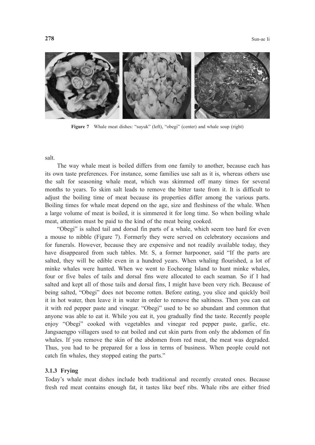

**Figure 7** Whale meat dishes: "suyuk" (left), "obegi" (center) and whale soup (right)

salt.

 The way whale meat is boiled differs from one family to another, because each has its own taste preferences. For instance, some families use salt as it is, whereas others use the salt for seasoning whale meat, which was skimmed off many times for several months to years. To skim salt leads to remove the bitter taste from it. It is difficult to adjust the boiling time of meat because its properties differ among the various parts. Boiling times for whale meat depend on the age, size and fleshiness of the whale. When a large volume of meat is boiled, it is simmered it for long time. So when boiling whale meat, attention must be paid to the kind of the meat being cooked.

 "Obegi" is salted tail and dorsal fin parts of a whale, which seem too hard for even a mouse to nibble (Figure 7). Formerly they were served on celebratory occasions and for funerals. However, because they are expensive and not readily available today, they have disappeared from such tables. Mr. S, a former harpooner, said "If the parts are salted, they will be edible even in a hundred years. When whaling flourished, a lot of minke whales were hunted. When we went to Eocheong Island to hunt minke whales, four or five bales of tails and dorsal fins were allocated to each seaman. So if I had salted and kept all of those tails and dorsal fins, I might have been very rich. Because of being salted, "Obegi" does not become rotten. Before eating, you slice and quickly boil it in hot water, then leave it in water in order to remove the saltiness. Then you can eat it with red pepper paste and vinegar. "Obegi" used to be so abundant and common that anyone was able to eat it. While you eat it, you gradually find the taste. Recently people enjoy "Obegi" cooked with vegetables and vinegar red pepper paste, garlic, etc. Jangsaengpo villagers used to eat boiled and cut skin parts from only the abdomen of fin whales. If you remove the skin of the abdomen from red meat, the meat was degraded. Thus, you had to be prepared for a loss in terms of business. When people could not catch fin whales, they stopped eating the parts."

#### **3.1.3 Frying**

Today's whale meat dishes include both traditional and recently created ones. Because fresh red meat contains enough fat, it tastes like beef ribs. Whale ribs are either fried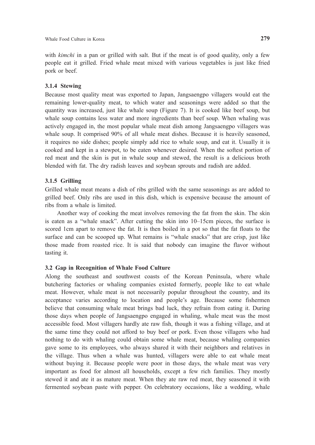with *kimchi* in a pan or grilled with salt. But if the meat is of good quality, only a few people eat it grilled. Fried whale meat mixed with various vegetables is just like fried pork or beef.

#### **3.1.4 Stewing**

Because most quality meat was exported to Japan, Jangsaengpo villagers would eat the remaining lower-quality meat, to which water and seasonings were added so that the quantity was increased, just like whale soup (Figure 7). It is cooked like beef soup, but whale soup contains less water and more ingredients than beef soup. When whaling was actively engaged in, the most popular whale meat dish among Jangsaengpo villagers was whale soup. It comprised 90% of all whale meat dishes. Because it is heavily seasoned, it requires no side dishes; people simply add rice to whale soup, and eat it. Usually it is cooked and kept in a stewpot, to be eaten whenever desired. When the softest portion of red meat and the skin is put in whale soup and stewed, the result is a delicious broth blended with fat. The dry radish leaves and soybean sprouts and radish are added.

# **3.1.5 Grilling**

Grilled whale meat means a dish of ribs grilled with the same seasonings as are added to grilled beef. Only ribs are used in this dish, which is expensive because the amount of ribs from a whale is limited.

 Another way of cooking the meat involves removing the fat from the skin. The skin is eaten as a "whale snack". After cutting the skin into 10–15cm pieces, the surface is scored 1cm apart to remove the fat. It is then boiled in a pot so that the fat floats to the surface and can be scooped up. What remains is "whale snacks" that are crisp, just like those made from roasted rice. It is said that nobody can imagine the flavor without tasting it.

# **3.2 Gap in Recognition of Whale Food Culture**

Along the southeast and southwest coasts of the Korean Peninsula, where whale butchering factories or whaling companies existed formerly, people like to eat whale meat. However, whale meat is not necessarily popular throughout the country, and its acceptance varies according to location and people's age. Because some fishermen believe that consuming whale meat brings bad luck, they refrain from eating it. During those days when people of Jangsaengpo engaged in whaling, whale meat was the most accessible food. Most villagers hardly ate raw fish, though it was a fishing village, and at the same time they could not afford to buy beef or pork. Even those villagers who had nothing to do with whaling could obtain some whale meat, because whaling companies gave some to its employees, who always shared it with their neighbors and relatives in the village. Thus when a whale was hunted, villagers were able to eat whale meat without buying it. Because people were poor in those days, the whale meat was very important as food for almost all households, except a few rich families. They mostly stewed it and ate it as mature meat. When they ate raw red meat, they seasoned it with fermented soybean paste with pepper. On celebratory occasions, like a wedding, whale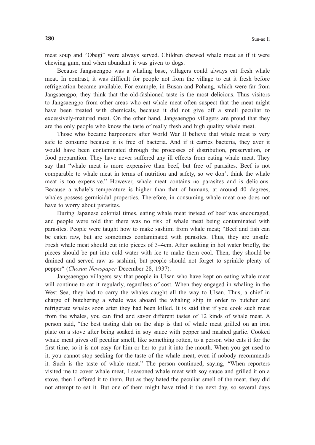meat soup and "Obegi" were always served. Children chewed whale meat as if it were chewing gum, and when abundant it was given to dogs.

 Because Jangsaengpo was a whaling base, villagers could always eat fresh whale meat. In contrast, it was difficult for people not from the village to eat it fresh before refrigeration became available. For example, in Busan and Pohang, which were far from Jangsaengpo, they think that the old-fashioned taste is the most delicious. Thus visitors to Jangsaengpo from other areas who eat whale meat often suspect that the meat might have been treated with chemicals, because it did not give off a smell peculiar to excessively-matured meat. On the other hand, Jangsaengpo villagers are proud that they are the only people who know the taste of really fresh and high quality whale meat.

 Those who became harpooners after World War II believe that whale meat is very safe to consume because it is free of bacteria. And if it carries bacteria, they aver it would have been contaminated through the processes of distribution, preservation, or food preparation. They have never suffered any ill effects from eating whale meat. They say that "whale meat is more expensive than beef, but free of parasites. Beef is not comparable to whale meat in terms of nutrition and safety, so we don't think the whale meat is too expensive." However, whale meat contains no parasites and is delicious. Because a whale's temperature is higher than that of humans, at around 40 degrees, whales possess germicidal properties. Therefore, in consuming whale meat one does not have to worry about parasites.

 During Japanese colonial times, eating whale meat instead of beef was encouraged, and people were told that there was no risk of whale meat being contaminated with parasites. People were taught how to make sashimi from whale meat; "Beef and fish can be eaten raw, but are sometimes contaminated with parasites. Thus, they are unsafe. Fresh whale meat should cut into pieces of 3–4cm. After soaking in hot water briefly, the pieces should be put into cold water with ice to make them cool. Then, they should be drained and served raw as sashimi, but people should not forget to sprinkle plenty of pepper" (*Chosun Newspaper* December 28, 1937).

 Jangsaengpo villagers say that people in Ulsan who have kept on eating whale meat will continue to eat it regularly, regardless of cost. When they engaged in whaling in the West Sea, they had to carry the whales caught all the way to Ulsan. Thus, a chief in charge of butchering a whale was aboard the whaling ship in order to butcher and refrigerate whales soon after they had been killed. It is said that if you cook such meat from the whales, you can find and savor different tastes of 12 kinds of whale meat. A person said, "the best tasting dish on the ship is that of whale meat grilled on an iron plate on a stove after being soaked in soy sauce with pepper and mashed garlic. Cooked whale meat gives off peculiar smell, like something rotten, to a person who eats it for the first time, so it is not easy for him or her to put it into the mouth. When you get used to it, you cannot stop seeking for the taste of the whale meat, even if nobody recommends it. Such is the taste of whale meat." The person continued, saying, "When reporters visited me to cover whale meat, I seasoned whale meat with soy sauce and grilled it on a stove, then I offered it to them. But as they hated the peculiar smell of the meat, they did not attempt to eat it. But one of them might have tried it the next day, so several days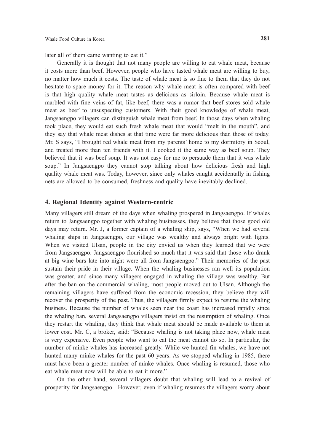later all of them came wanting to eat it."

 Generally it is thought that not many people are willing to eat whale meat, because it costs more than beef. However, people who have tasted whale meat are willing to buy, no matter how much it costs. The taste of whale meat is so fine to them that they do not hesitate to spare money for it. The reason why whale meat is often compared with beef is that high quality whale meat tastes as delicious as sirloin. Because whale meat is marbled with fine veins of fat, like beef, there was a rumor that beef stores sold whale meat as beef to unsuspecting customers. With their good knowledge of whale meat, Jangsaengpo villagers can distinguish whale meat from beef. In those days when whaling took place, they would eat such fresh whale meat that would "melt in the mouth", and they say that whale meat dishes at that time were far more delicious than those of today. Mr. S says, "I brought red whale meat from my parents' home to my dormitory in Seoul, and treated more than ten friends with it. I cooked it the same way as beef soup. They believed that it was beef soup. It was not easy for me to persuade them that it was whale soup." In Jangsaengpo they cannot stop talking about how delicious fresh and high quality whale meat was. Today, however, since only whales caught accidentally in fishing nets are allowed to be consumed, freshness and quality have inevitably declined.

# **4. Regional Identity against Western-centric**

Many villagers still dream of the days when whaling prospered in Jangsaengpo. If whales return to Jangsaengpo together with whaling businesses, they believe that those good old days may return. Mr. J, a former captain of a whaling ship, says, "When we had several whaling ships in Jangsaengpo, our village was wealthy and always bright with lights. When we visited Ulsan, people in the city envied us when they learned that we were from Jangsaengpo. Jangsaengpo flourished so much that it was said that those who drank at big wine bars late into night were all from Jangsaengpo." Their memories of the past sustain their pride in their village. When the whaling businesses ran well its population was greater, and since many villagers engaged in whaling the village was wealthy. But after the ban on the commercial whaling, most people moved out to Ulsan. Although the remaining villagers have suffered from the economic recession, they believe they will recover the prosperity of the past. Thus, the villagers firmly expect to resume the whaling business. Because the number of whales seen near the coast has increased rapidly since the whaling ban, several Jangsaengpo villagers insist on the resumption of whaling. Once they restart the whaling, they think that whale meat should be made available to them at lower cost. Mr. C, a broker, said: "Because whaling is not taking place now, whale meat is very expensive. Even people who want to eat the meat cannot do so. In particular, the number of minke whales has increased greatly. While we hunted fin whales, we have not hunted many minke whales for the past 60 years. As we stopped whaling in 1985, there must have been a greater number of minke whales. Once whaling is resumed, those who eat whale meat now will be able to eat it more."

 On the other hand, several villagers doubt that whaling will lead to a revival of prosperity for Jangsaengpo . However, even if whaling resumes the villagers worry about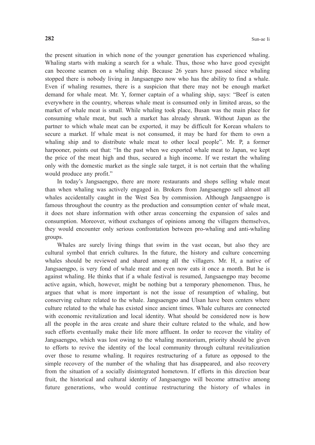the present situation in which none of the younger generation has experienced whaling. Whaling starts with making a search for a whale. Thus, those who have good eyesight can become seamen on a whaling ship. Because 26 years have passed since whaling stopped there is nobody living in Jangsaengpo now who has the ability to find a whale. Even if whaling resumes, there is a suspicion that there may not be enough market demand for whale meat. Mr. Y, former captain of a whaling ship, says: "Beef is eaten everywhere in the country, whereas whale meat is consumed only in limited areas, so the market of whale meat is small. While whaling took place, Busan was the main place for consuming whale meat, but such a market has already shrunk. Without Japan as the partner to which whale meat can be exported, it may be difficult for Korean whalers to secure a market. If whale meat is not consumed, it may be hard for them to own a whaling ship and to distribute whale meat to other local people". Mr. P, a former harpooner, points out that: "In the past when we exported whale meat to Japan, we kept the price of the meat high and thus, secured a high income. If we restart the whaling only with the domestic market as the single sale target, it is not certain that the whaling would produce any profit."

 In today's Jangsaengpo, there are more restaurants and shops selling whale meat than when whaling was actively engaged in. Brokers from Jangsaengpo sell almost all whales accidentally caught in the West Sea by commission. Although Jangsaengpo is famous throughout the country as the production and consumption center of whale meat, it does not share information with other areas concerning the expansion of sales and consumption. Moreover, without exchanges of opinions among the villagers themselves, they would encounter only serious confrontation between pro-whaling and anti-whaling groups.

 Whales are surely living things that swim in the vast ocean, but also they are cultural symbol that enrich cultures. In the future, the history and culture concerning whales should be reviewed and shared among all the villagers. Mr. H, a native of Jangsaengpo, is very fond of whale meat and even now eats it once a month. But he is against whaling. He thinks that if a whale festival is resumed, Jangsaengpo may become active again, which, however, might be nothing but a temporary phenomenon. Thus, he argues that what is more important is not the issue of resumption of whaling, but conserving culture related to the whale. Jangsaengpo and Ulsan have been centers where culture related to the whale has existed since ancient times. Whale cultures are connected with economic revitalization and local identity. What should be considered now is how all the people in the area create and share their culture related to the whale, and how such efforts eventually make their life more affluent. In order to recover the vitality of Jangsaengpo, which was lost owing to the whaling moratorium, priority should be given to efforts to revive the identity of the local community through cultural revitalization over those to resume whaling. It requires restructuring of a future as opposed to the simple recovery of the number of the whaling that has disappeared, and also recovery from the situation of a socially disintegrated hometown. If efforts in this direction bear fruit, the historical and cultural identity of Jangsaengpo will become attractive among future generations, who would continue restructuring the history of whales in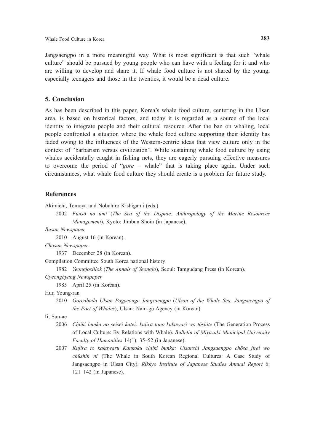Jangsaengpo in a more meaningful way. What is most significant is that such "whale culture" should be pursued by young people who can have with a feeling for it and who are willing to develop and share it. If whale food culture is not shared by the young, especially teenagers and those in the twenties, it would be a dead culture.

# **5. Conclusion**

As has been described in this paper, Korea's whale food culture, centering in the Ulsan area, is based on historical factors, and today it is regarded as a source of the local identity to integrate people and their cultural resource. After the ban on whaling, local people confronted a situation where the whale food culture supporting their identity has faded owing to the influences of the Western-centric ideas that view culture only in the context of "barbarism versus civilization". While sustaining whale food culture by using whales accidentally caught in fishing nets, they are eagerly pursuing effective measures to overcome the period of "*gore* = whale" that is taking place again. Under such circumstances, what whale food culture they should create is a problem for future study.

# **References**

Akimichi, Tomoya and Nobuhiro Kishigami (eds.)

 2002 *Funsō no umi* (*The Sea of the Dispute: Anthropology of the Marine Resources Management*), Kyoto: Jimbun Shoin (in Japanese).

*Busan Newspaper*

2010 August 16 (in Korean).

*Chosun Newspaper*

1937 December 28 (in Korean).

Compilation Committee South Korea national history

1982 *Yeongjosillok* (*The Annals of Yeongjo*), Seoul: Tamgudang Press (in Korean).

*Gyeonghyang Newspaper*

1985 April 25 (in Korean).

Hur, Young-ran

 2010 *Goreabada Ulsan Pogyeonge Jangsaengpo* (*Ulsan of the Whale Sea, Jangsaengpo of the Port of Whales*), Ulsan: Nam-gu Agency (in Korean).

Ii, Sun-ae

- 2006 *Chiiki bunka no seisei katei: kujira tono kakawari wo tōshite* (The Generation Process of Local Culture: By Relations with Whale). *Bulletin of Miyazaki Municipal University Faculty of Humanities* 14(1): 35–52 (in Japanese).
- 2007 *Kujira to kakawaru Kankoku chiiki bunka: Ulsanshi Jangsaengpo chōsa jirei wo chūshin ni* (The Whale in South Korean Regional Cultures: A Case Study of Jangsaengpo in Ulsan City). *Rikkyo Institute of Japanese Studies Annual Report* 6: 121–142 (in Japanese).